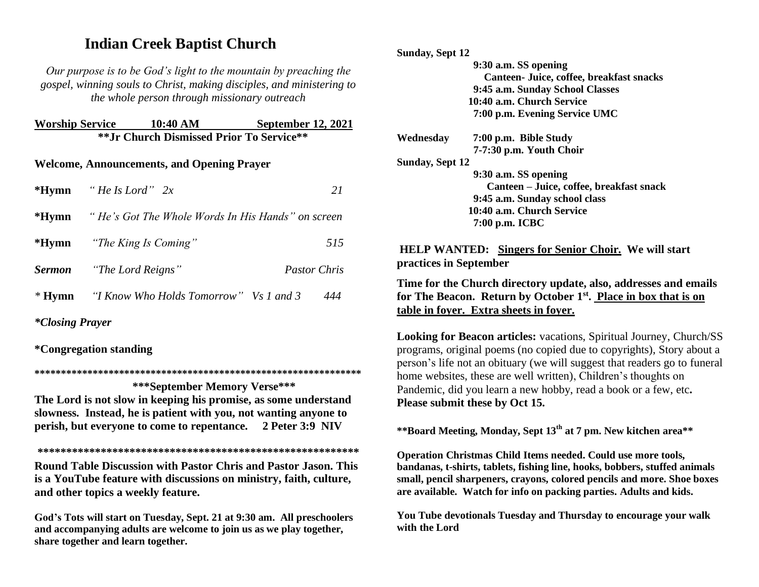# **Indian Creek Baptist Church**

*Our purpose is to be God's light to the mountain by preaching the gospel, winning souls to Christ, making disciples, and ministering to the whole person through missionary outreach*

**Worship Service 10:40 AM September 12, 2021 \*\*Jr Church Dismissed Prior To Service\*\***

### **Welcome, Announcements, and Opening Prayer**

| *Hymn "He Is Lord" $2x$                                        | 21                  |
|----------------------------------------------------------------|---------------------|
| <b>*Hymn</b> "He's Got The Whole Words In His Hands" on screen |                     |
| * <b>Hymn</b> "The King Is Coming"                             | 515                 |
| <b>Sermon</b> "The Lord Reigns"                                | <i>Pastor Chris</i> |
| * Hymn "I Know Who Holds Tomorrow" Vs 1 and 3                  | 444                 |

*\*Closing Prayer* 

**\*Congregation standing**

**\*\*\*\*\*\*\*\*\*\*\*\*\*\*\*\*\*\*\*\*\*\*\*\*\*\*\*\*\*\*\*\*\*\*\*\*\*\*\*\*\*\*\*\*\*\*\*\*\*\*\*\*\*\*\*\*\*\*\*\*\*\***

 **\*\*\*September Memory Verse\*\*\* The Lord is not slow in keeping his promise, as some understand slowness. Instead, he is patient with you, not wanting anyone to perish, but everyone to come to repentance. 2 Peter 3:9 NIV** 

**\*\*\*\*\*\*\*\*\*\*\*\*\*\*\*\*\*\*\*\*\*\*\*\*\*\*\*\*\*\*\*\*\*\*\*\*\*\*\*\*\*\*\*\*\*\*\*\*\*\*\*\*\*\*\*\* Round Table Discussion with Pastor Chris and Pastor Jason. This is a YouTube feature with discussions on ministry, faith, culture, and other topics a weekly feature.**

**God's Tots will start on Tuesday, Sept. 21 at 9:30 am. All preschoolers and accompanying adults are welcome to join us as we play together, share together and learn together.**

**Sunday, Sept 12**

 **9:30 a.m. SS opening Canteen- Juice, coffee, breakfast snacks 9:45 a.m. Sunday School Classes 10:40 a.m. Church Service 7:00 p.m. Evening Service UMC**

**Wednesday 7:00 p.m. Bible Study 7-7:30 p.m. Youth Choir** 

**Sunday, Sept 12** 

 **9:30 a.m. SS opening Canteen – Juice, coffee, breakfast snack 9:45 a.m. Sunday school class 10:40 a.m. Church Service 7:00 p.m. ICBC** 

**HELP WANTED: Singers for Senior Choir. We will start practices in September**

**Time for the Church directory update, also, addresses and emails for The Beacon. Return by October 1st . Place in box that is on table in foyer. Extra sheets in foyer.**

**Looking for Beacon articles:** vacations, Spiritual Journey, Church/SS programs, original poems (no copied due to copyrights), Story about a person's life not an obituary (we will suggest that readers go to funeral home websites, these are well written), Children's thoughts on Pandemic, did you learn a new hobby, read a book or a few, etc**. Please submit these by Oct 15.**

**\*\*Board Meeting, Monday, Sept 13th at 7 pm. New kitchen area\*\***

**Operation Christmas Child Items needed. Could use more tools, bandanas, t-shirts, tablets, fishing line, hooks, bobbers, stuffed animals small, pencil sharpeners, crayons, colored pencils and more. Shoe boxes are available. Watch for info on packing parties. Adults and kids.**

**You Tube devotionals Tuesday and Thursday to encourage your walk with the Lord**